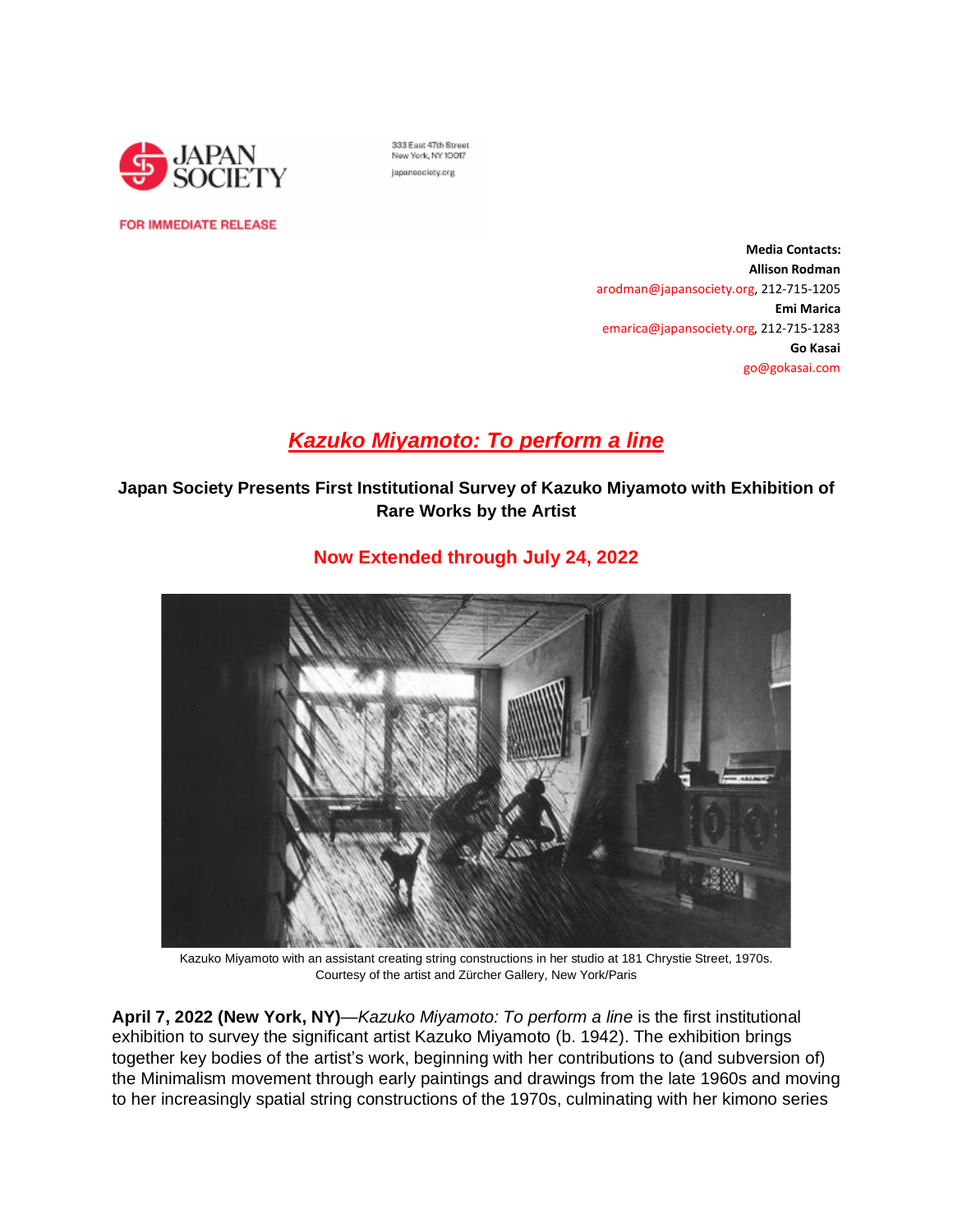

333 East 47th Street New York, NY 10017 japansociety.org

**FOR IMMEDIATE RELEASE** 

**Media Contacts: Allison Rodman** arodman@japansociety.org, 212-715-1205 **Emi Marica** emarica@japansociety.org, 212-715-1283 **Go Kasai** go@gokasai.com

# *Kazuko [Miyamoto:](https://www.japansociety.org/arts-and-culture/exhibitions/kazuko-miyamoto) To perform a line*

**Japan Society Presents First Institutional Survey of Kazuko Miyamoto with Exhibition of Rare Works by the Artist**



## **Now Extended through July 24, 2022**

Kazuko Miyamoto with an assistant creating string constructions in her studio at 181 Chrystie Street, 1970s. Courtesy of the artist and Zürcher Gallery, New York/Paris

**April 7, 2022 (New York, NY)**—*Kazuko Miyamoto: To perform a line* is the first institutional exhibition to survey the significant artist Kazuko Miyamoto (b. 1942). The exhibition brings together key bodies of the artist's work, beginning with her contributions to (and subversion of) the Minimalism movement through early paintings and drawings from the late 1960s and moving to her increasingly spatial string constructions of the 1970s, culminating with her kimono series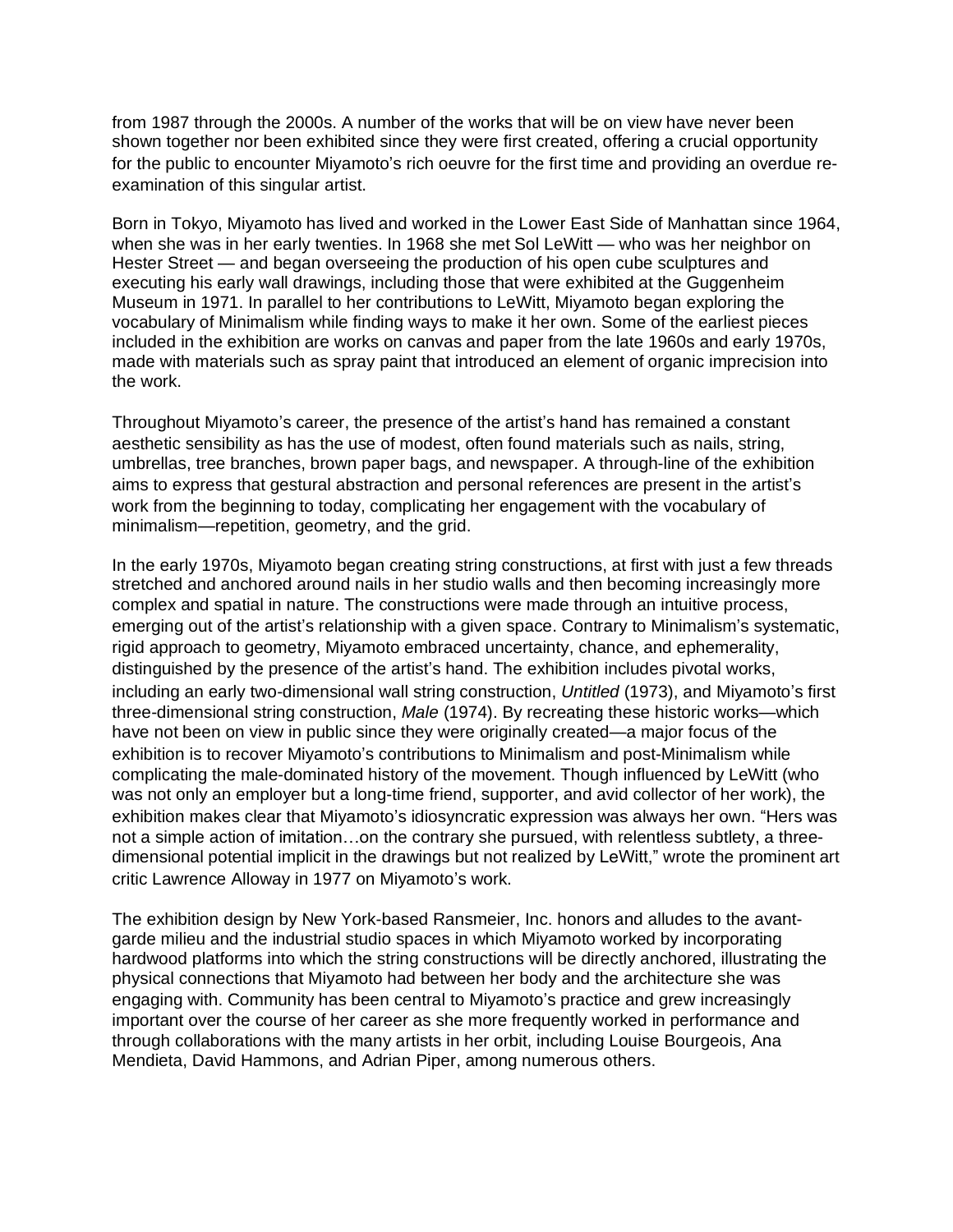from 1987 through the 2000s. A number of the works that will be on view have never been shown together nor been exhibited since they were first created, offering a crucial opportunity for the public to encounter Miyamoto's rich oeuvre for the first time and providing an overdue reexamination of this singular artist.

Born in Tokyo, Miyamoto has lived and worked in the Lower East Side of Manhattan since 1964, when she was in her early twenties. In 1968 she met Sol LeWitt — who was her neighbor on Hester Street — and began overseeing the production of his open cube sculptures and executing his early wall drawings, including those that were exhibited at the Guggenheim Museum in 1971. In parallel to her contributions to LeWitt, Miyamoto began exploring the vocabulary of Minimalism while finding ways to make it her own. Some of the earliest pieces included in the exhibition are works on canvas and paper from the late 1960s and early 1970s, made with materials such as spray paint that introduced an element of organic imprecision into the work.

Throughout Miyamoto's career, the presence of the artist's hand has remained a constant aesthetic sensibility as has the use of modest, often found materials such as nails, string, umbrellas, tree branches, brown paper bags, and newspaper. A through-line of the exhibition aims to express that gestural abstraction and personal references are present in the artist's work from the beginning to today, complicating her engagement with the vocabulary of minimalism—repetition, geometry, and the grid.

In the early 1970s, Miyamoto began creating string constructions, at first with just a few threads stretched and anchored around nails in her studio walls and then becoming increasingly more complex and spatial in nature. The constructions were made through an intuitive process, emerging out of the artist's relationship with a given space. Contrary to Minimalism's systematic, rigid approach to geometry, Miyamoto embraced uncertainty, chance, and ephemerality, distinguished by the presence of the artist's hand. The exhibition includes pivotal works, including an early two-dimensional wall string construction, *Untitled* (1973), and Miyamoto's first three-dimensional string construction, *Male* (1974). By recreating these historic works—which have not been on view in public since they were originally created—a major focus of the exhibition is to recover Miyamoto's contributions to Minimalism and post-Minimalism while complicating the male-dominated history of the movement. Though influenced by LeWitt (who was not only an employer but a long-time friend, supporter, and avid collector of her work), the exhibition makes clear that Miyamoto's idiosyncratic expression was always her own. "Hers was not a simple action of imitation…on the contrary she pursued, with relentless subtlety, a threedimensional potential implicit in the drawings but not realized by LeWitt," wrote the prominent art critic Lawrence Alloway in 1977 on Miyamoto's work.

The exhibition design by New York-based Ransmeier, Inc. honors and alludes to the avantgarde milieu and the industrial studio spaces in which Miyamoto worked by incorporating hardwood platforms into which the string constructions will be directly anchored, illustrating the physical connections that Miyamoto had between her body and the architecture she was engaging with. Community has been central to Miyamoto's practice and grew increasingly important over the course of her career as she more frequently worked in performance and through collaborations with the many artists in her orbit, including Louise Bourgeois, Ana Mendieta, David Hammons, and Adrian Piper, among numerous others.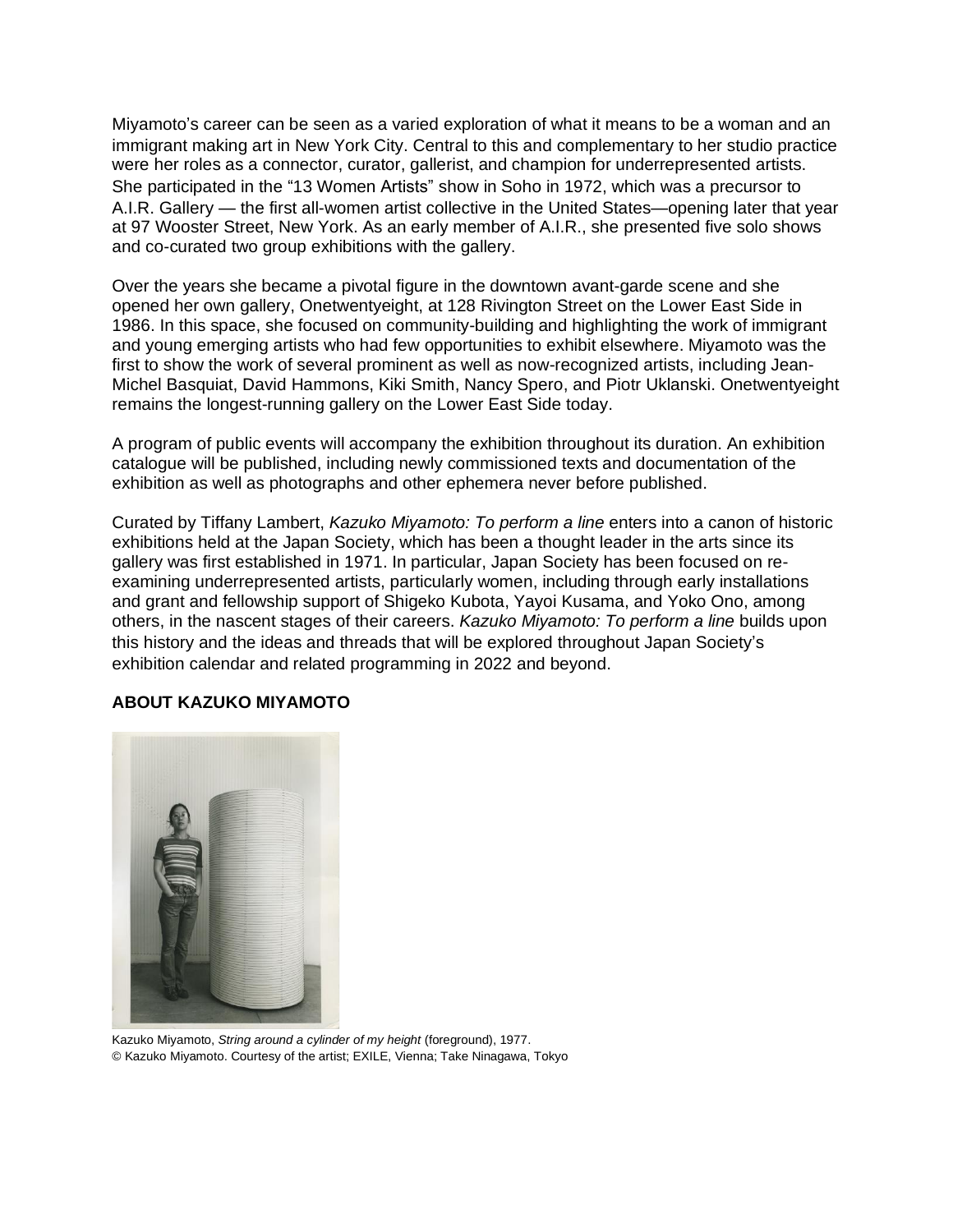Miyamoto's career can be seen as a varied exploration of what it means to be a woman and an immigrant making art in New York City. Central to this and complementary to her studio practice were her roles as a connector, curator, gallerist, and champion for underrepresented artists. She participated in the "13 Women Artists" show in Soho in 1972, which was a precursor to A.I.R. Gallery — the first all-women artist collective in the United States—opening later that year at 97 Wooster Street, New York. As an early member of A.I.R., she presented five solo shows and co-curated two group exhibitions with the gallery.

Over the years she became a pivotal figure in the downtown avant-garde scene and she opened her own gallery, Onetwentyeight, at 128 Rivington Street on the Lower East Side in 1986. In this space, she focused on community-building and highlighting the work of immigrant and young emerging artists who had few opportunities to exhibit elsewhere. Miyamoto was the first to show the work of several prominent as well as now-recognized artists, including Jean-Michel Basquiat, David Hammons, Kiki Smith, Nancy Spero, and Piotr Uklanski. Onetwentyeight remains the longest-running gallery on the Lower East Side today.

A program of public events will accompany the exhibition throughout its duration. An exhibition catalogue will be published, including newly commissioned texts and documentation of the exhibition as well as photographs and other ephemera never before published.

Curated by Tiffany Lambert, *Kazuko Miyamoto: To perform a line* enters into a canon of historic exhibitions held at the Japan Society, which has been a thought leader in the arts since its gallery was first established in 1971. In particular, Japan Society has been focused on reexamining underrepresented artists, particularly women, including through early installations and grant and fellowship support of Shigeko Kubota, Yayoi Kusama, and Yoko Ono, among others, in the nascent stages of their careers. *Kazuko Miyamoto: To perform a line* builds upon this history and the ideas and threads that will be explored throughout Japan Society's exhibition calendar and related programming in 2022 and beyond.

#### **ABOUT KAZUKO MIYAMOTO**



Kazuko Miyamoto, *String around a cylinder of my height* (foreground), 1977. © Kazuko Miyamoto. Courtesy of the artist; EXILE, Vienna; Take Ninagawa, Tokyo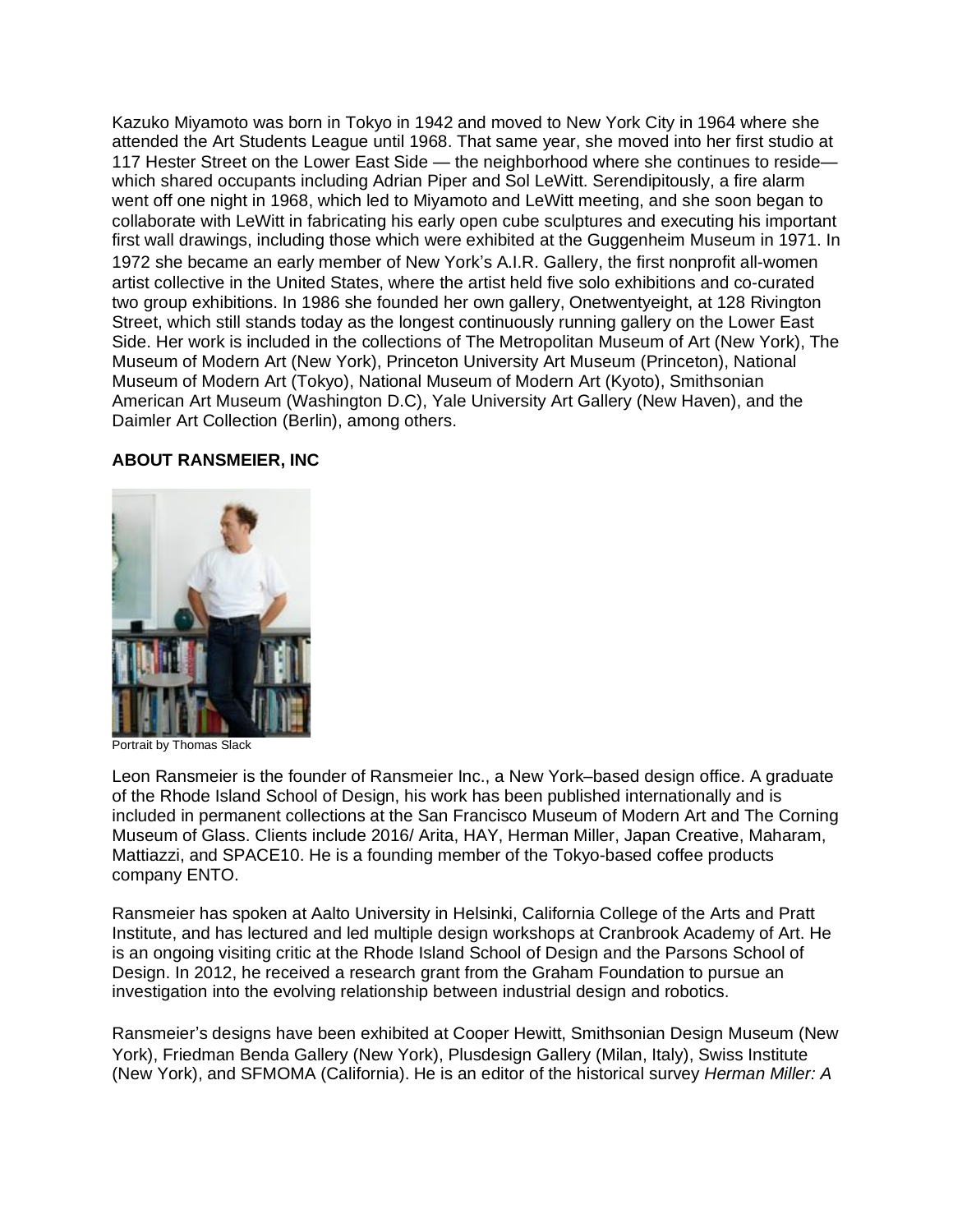Kazuko Miyamoto was born in Tokyo in 1942 and moved to New York City in 1964 where she attended the Art Students League until 1968. That same year, she moved into her first studio at 117 Hester Street on the Lower East Side — the neighborhood where she continues to reside which shared occupants including Adrian Piper and Sol LeWitt. Serendipitously, a fire alarm went off one night in 1968, which led to Miyamoto and LeWitt meeting, and she soon began to collaborate with LeWitt in fabricating his early open cube sculptures and executing his important first wall drawings, including those which were exhibited at the Guggenheim Museum in 1971. In 1972 she became an early member of New York's A.I.R. Gallery, the first nonprofit all-women artist collective in the United States, where the artist held five solo exhibitions and co-curated two group exhibitions. In 1986 she founded her own gallery, Onetwentyeight, at 128 Rivington Street, which still stands today as the longest continuously running gallery on the Lower East Side. Her work is included in the collections of The Metropolitan Museum of Art (New York), The Museum of Modern Art (New York), Princeton University Art Museum (Princeton), National Museum of Modern Art (Tokyo), National Museum of Modern Art (Kyoto), Smithsonian American Art Museum (Washington D.C), Yale University Art Gallery (New Haven), and the Daimler Art Collection (Berlin), among others.

## **ABOUT RANSMEIER, INC**



Portrait by Thomas Slack

Leon Ransmeier is the founder of Ransmeier Inc., a New York–based design office. A graduate of the Rhode Island School of Design, his work has been published internationally and is included in permanent collections at the San Francisco Museum of Modern Art and The Corning Museum of Glass. Clients include 2016/ Arita, HAY, Herman Miller, Japan Creative, Maharam, Mattiazzi, and SPACE10. He is a founding member of the Tokyo-based coffee products company ENTO.

Ransmeier has spoken at Aalto University in Helsinki, California College of the Arts and Pratt Institute, and has lectured and led multiple design workshops at Cranbrook Academy of Art. He is an ongoing visiting critic at the Rhode Island School of Design and the Parsons School of Design. In 2012, he received a research grant from the Graham Foundation to pursue an investigation into the evolving relationship between industrial design and robotics.

Ransmeier's designs have been exhibited at Cooper Hewitt, Smithsonian Design Museum (New York), Friedman Benda Gallery (New York), Plusdesign Gallery (Milan, Italy), Swiss Institute (New York), and SFMOMA (California). He is an editor of the historical survey *Herman Miller: A*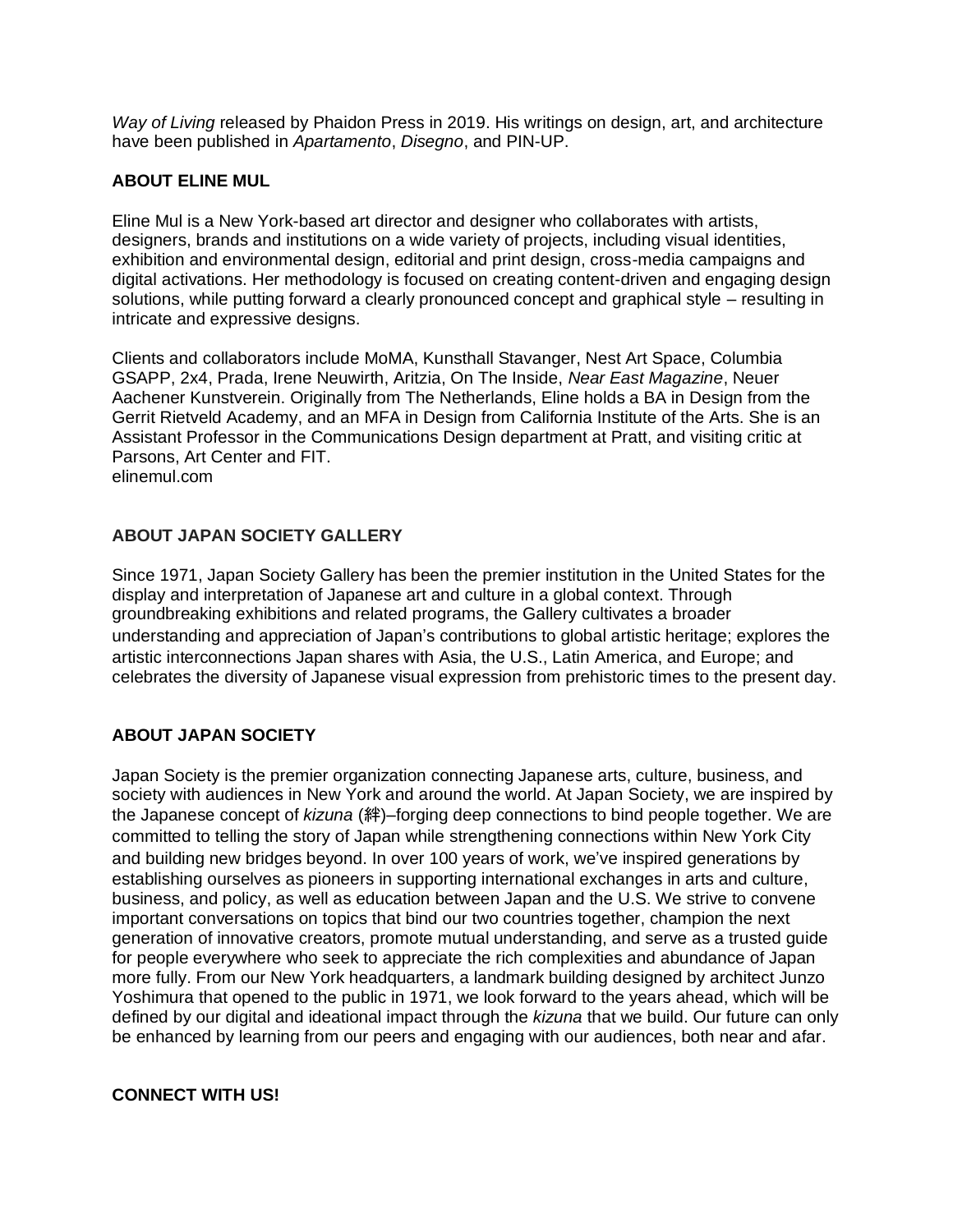*Way of Living* released by Phaidon Press in 2019. His writings on design, art, and architecture have been published in *Apartamento*, *Disegno*, and PIN-UP.

## **ABOUT ELINE MUL**

Eline Mul is a New York-based art director and designer who collaborates with artists, designers, brands and institutions on a wide variety of projects, including visual identities, exhibition and environmental design, editorial and print design, cross-media campaigns and digital activations. Her methodology is focused on creating content-driven and engaging design solutions, while putting forward a clearly pronounced concept and graphical style – resulting in intricate and expressive designs.

Clients and collaborators include MoMA, Kunsthall Stavanger, Nest Art Space, Columbia GSAPP, 2x4, Prada, Irene Neuwirth, Aritzia, On The Inside, *Near East Magazine*, Neuer Aachener Kunstverein. Originally from The Netherlands, Eline holds a BA in Design from the Gerrit Rietveld Academy, and an MFA in Design from California Institute of the Arts. She is an Assistant Professor in the Communications Design department at Pratt, and visiting critic at Parsons, Art Center and FIT. elinemul.com

## **ABOUT JAPAN SOCIETY GALLERY**

Since 1971, Japan Society Gallery has been the premier institution in the United States for the display and interpretation of Japanese art and culture in a global context. Through groundbreaking exhibitions and related programs, the Gallery cultivates a broader understanding and appreciation of Japan's contributions to global artistic heritage; explores the artistic interconnections Japan shares with Asia, the U.S., Latin America, and Europe; and celebrates the diversity of Japanese visual expression from prehistoric times to the present day.

## **ABOUT JAPAN SOCIETY**

Japan Society is the premier organization connecting Japanese arts, culture, business, and society with audiences in New York and around the world. At Japan Society, we are inspired by the Japanese concept of *kizuna* (絆)–forging deep connections to bind people together. We are committed to telling the story of Japan while strengthening connections within New York City and building new bridges beyond. In over 100 years of work, we've inspired generations by establishing ourselves as pioneers in supporting international exchanges in arts and culture, business, and policy, as well as education between Japan and the U.S. We strive to convene important conversations on topics that bind our two countries together, champion the next generation of innovative creators, promote mutual understanding, and serve as a trusted guide for people everywhere who seek to appreciate the rich complexities and abundance of Japan more fully. From our New York headquarters, a landmark building designed by architect Junzo Yoshimura that opened to the public in 1971, we look forward to the years ahead, which will be defined by our digital and ideational impact through the *kizuna* that we build. Our future can only be enhanced by learning from our peers and engaging with our audiences, both near and afar.

#### **CONNECT WITH US!**